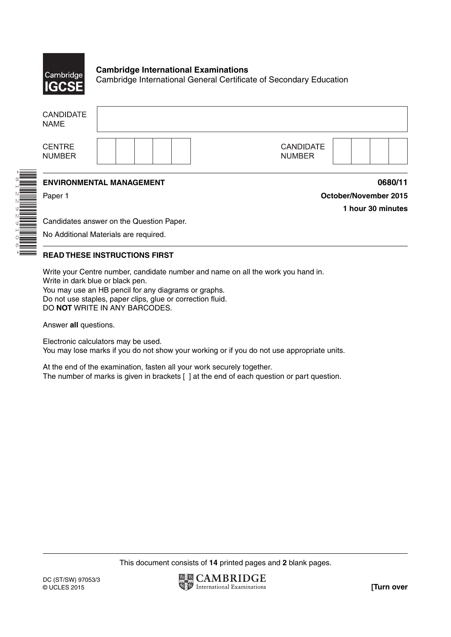

## **Cambridge International Examinations** Cambridge International General Certificate of Secondary Education

|  | <b>CANDIDATE</b><br><b>NAME</b>            |                                          |                                   |  |
|--|--------------------------------------------|------------------------------------------|-----------------------------------|--|
|  | <b>CENTRE</b><br><b>NUMBER</b>             |                                          | <b>CANDIDATE</b><br><b>NUMBER</b> |  |
|  | <b>ENVIRONMENTAL MANAGEMENT</b><br>Paper 1 |                                          | 0680/11                           |  |
|  |                                            |                                          | October/November 2015             |  |
|  |                                            |                                          | 1 hour 30 minutes                 |  |
|  |                                            | Candidates answer on the Question Paper. |                                   |  |
|  | No Additional Materials are required.      |                                          |                                   |  |

\*8122929106\*

## **READ THESE INSTRUCTIONS FIRST**

Write your Centre number, candidate number and name on all the work you hand in. Write in dark blue or black pen. You may use an HB pencil for any diagrams or graphs. Do not use staples, paper clips, glue or correction fluid.

DO **NOT** WRITE IN ANY BARCODES.

Answer **all** questions.

Electronic calculators may be used. You may lose marks if you do not show your working or if you do not use appropriate units.

At the end of the examination, fasten all your work securely together. The number of marks is given in brackets [ ] at the end of each question or part question.

This document consists of **14** printed pages and **2** blank pages.

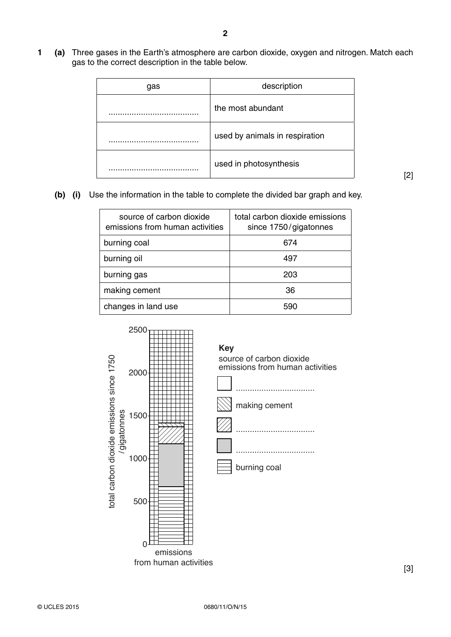**1 (a)** Three gases in the Earth's atmosphere are carbon dioxide, oxygen and nitrogen. Match each gas to the correct description in the table below.

| gas | description                    |
|-----|--------------------------------|
|     | the most abundant              |
|     | used by animals in respiration |
|     | used in photosynthesis         |

 **(b) (i)** Use the information in the table to complete the divided bar graph and key.

| source of carbon dioxide<br>emissions from human activities | total carbon dioxide emissions<br>since 1750/gigatonnes |  |
|-------------------------------------------------------------|---------------------------------------------------------|--|
| burning coal                                                | 674                                                     |  |
| burning oil                                                 | 497                                                     |  |
| burning gas                                                 | 203                                                     |  |
| making cement                                               | 36                                                      |  |
| changes in land use                                         | 590                                                     |  |



[2]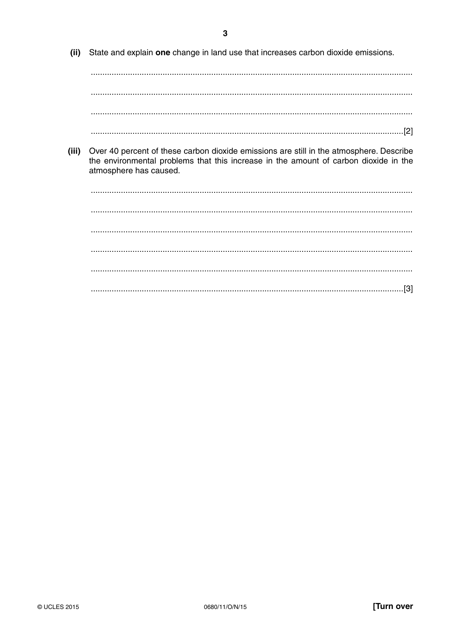State and explain one change in land use that increases carbon dioxide emissions. 

(iii) Over 40 percent of these carbon dioxide emissions are still in the atmosphere. Describe the environmental problems that this increase in the amount of carbon dioxide in the atmosphere has caused.

[Turn over

 $(ii)$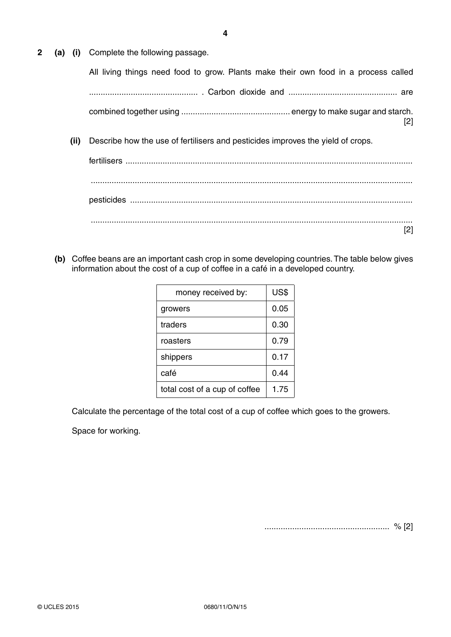- **2 (a) (i)** Complete the following passage. All living things need food to grow. Plants make their own food in a process called ............................................... . Carbon dioxide and ............................................... are combined together using ............................................... energy to make sugar and starch. [2]  **(ii)** Describe how the use of fertilisers and pesticides improves the yield of crops. fertilisers ............................................................................................................................ ........................................................................................................................................... pesticides .......................................................................................................................... ........................................................................................................................................... [2]
	- **(b)** Coffee beans are an important cash crop in some developing countries. The table below gives information about the cost of a cup of coffee in a café in a developed country.

| money received by:            | US\$ |
|-------------------------------|------|
| growers                       | 0.05 |
| traders                       | 0.30 |
| roasters                      | 0.79 |
| shippers                      | 0.17 |
| café                          | 0.44 |
| total cost of a cup of coffee | 1.75 |

Calculate the percentage of the total cost of a cup of coffee which goes to the growers.

Space for working.

...................................................... % [2]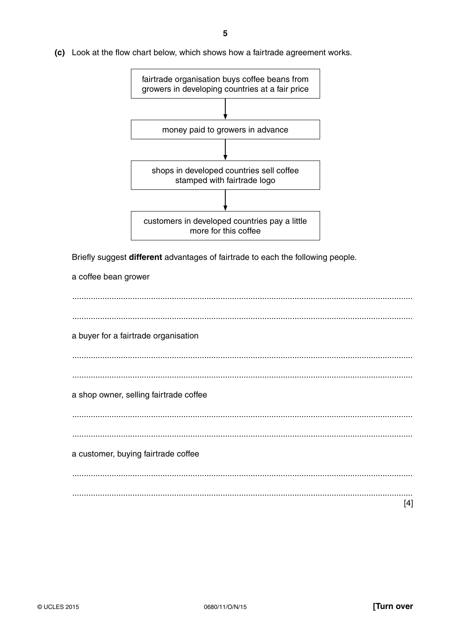(c) Look at the flow chart below, which shows how a fairtrade agreement works.



Briefly suggest different advantages of fairtrade to each the following people.

a coffee bean grower a buyer for a fairtrade organisation a shop owner, selling fairtrade coffee a customer, buying fairtrade coffee  $[4]$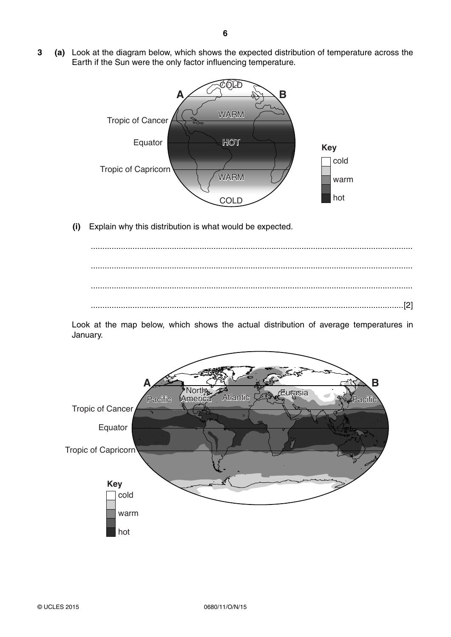**3 (a)** Look at the diagram below, which shows the expected distribution of temperature across the Earth if the Sun were the only factor influencing temperature.



 **(i)** Explain why this distribution is what would be expected.



Look at the map below, which shows the actual distribution of average temperatures in January.

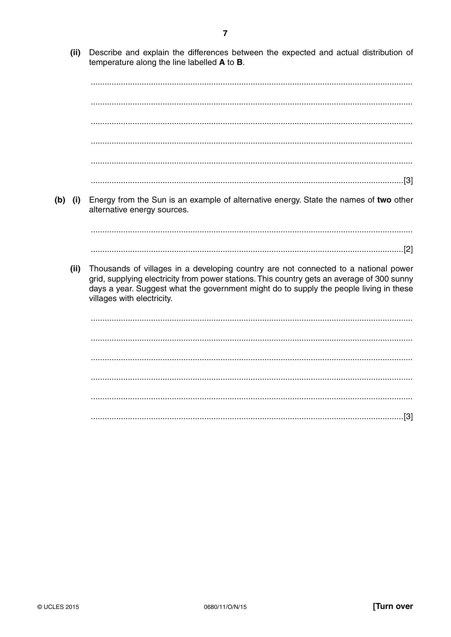$(ii)$ Describe and explain the differences between the expected and actual distribution of temperature along the line labelled A to B.

Energy from the Sun is an example of alternative energy. State the names of two other  $(b)$   $(i)$ alternative energy sources. Thousands of villages in a developing country are not connected to a national power  $(ii)$ grid, supplying electricity from power stations. This country gets an average of 300 sunny days a year. Suggest what the government might do to supply the people living in these villages with electricity.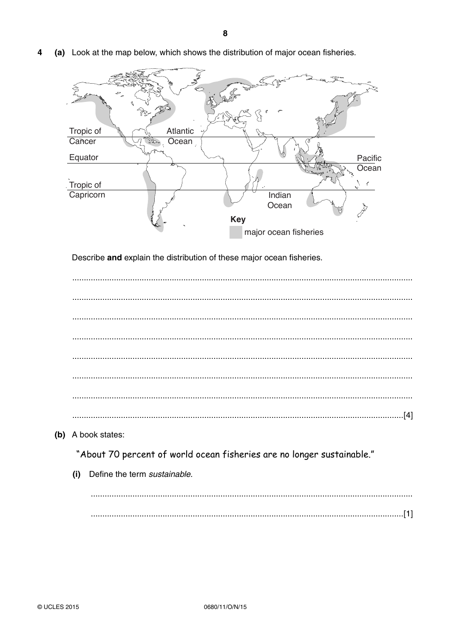(a) Look at the map below, which shows the distribution of major ocean fisheries. 4



Describe and explain the distribution of these major ocean fisheries.

|  | .141 |
|--|------|
|  |      |

(b) A book states:

"About 70 percent of world ocean fisheries are no longer sustainable."

(i) Define the term sustainable.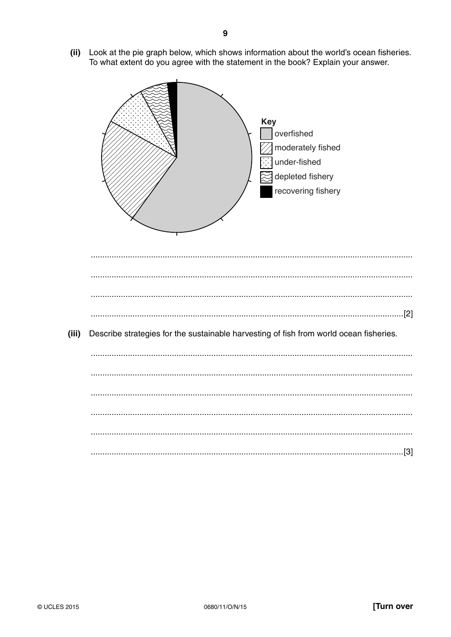(ii) Look at the pie graph below, which shows information about the world's ocean fisheries. To what extent do you agree with the statement in the book? Explain your answer.

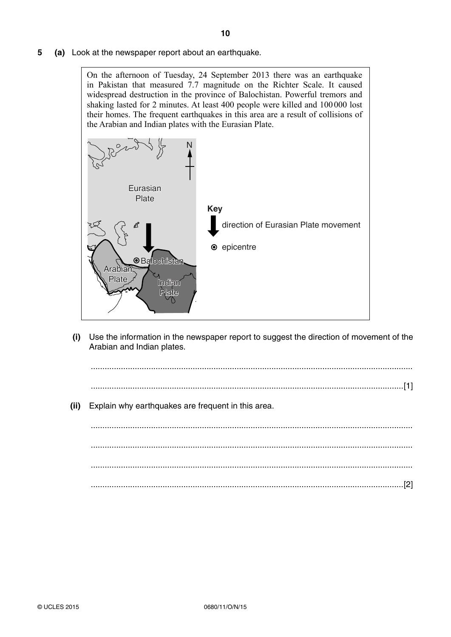On the afternoon of Tuesday, 24 September 2013 there was an earthquake in Pakistan that measured 7.7 magnitude on the Richter Scale. It caused widespread destruction in the province of Balochistan. Powerful tremors and shaking lasted for 2 minutes. At least 400 people were killed and 100 000 lost their homes. The frequent earthquakes in this area are a result of collisions of the Arabian and Indian plates with the Eurasian Plate.



 **(i)** Use the information in the newspaper report to suggest the direction of movement of the Arabian and Indian plates.

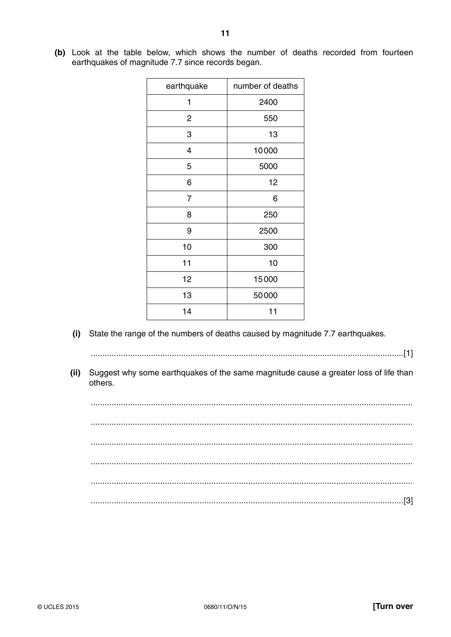| earthquake     | number of deaths |  |
|----------------|------------------|--|
| 1              | 2400             |  |
| $\overline{c}$ | 550              |  |
| 3              | 13               |  |
| 4              | 10000            |  |
| 5              | 5000             |  |
| 6              | 12               |  |
| 7              | 6                |  |
| 8              | 250              |  |
| 9              | 2500             |  |
| 10             | 300              |  |
| 11             | 10               |  |
| 12             | 15000            |  |
| 13             | 50000            |  |
| 14             | 11               |  |

(b) Look at the table below, which shows the number of deaths recorded from fourteen earthquakes of magnitude 7.7 since records began.

 $(i)$ State the range of the numbers of deaths caused by magnitude 7.7 earthquakes.

(ii) Suggest why some earthquakes of the same magnitude cause a greater loss of life than others.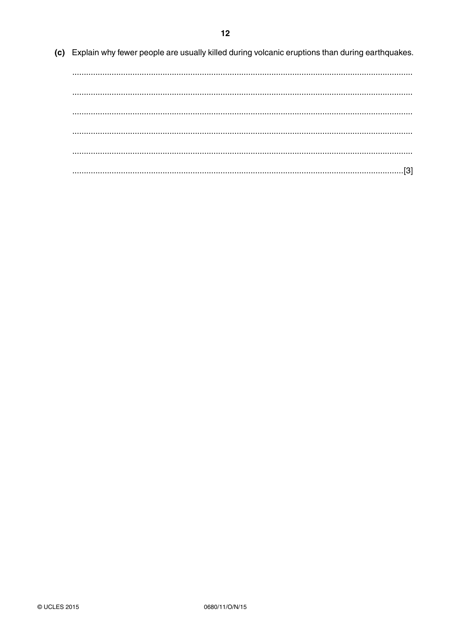(c) Explain why fewer people are usually killed during volcanic eruptions than during earthquakes.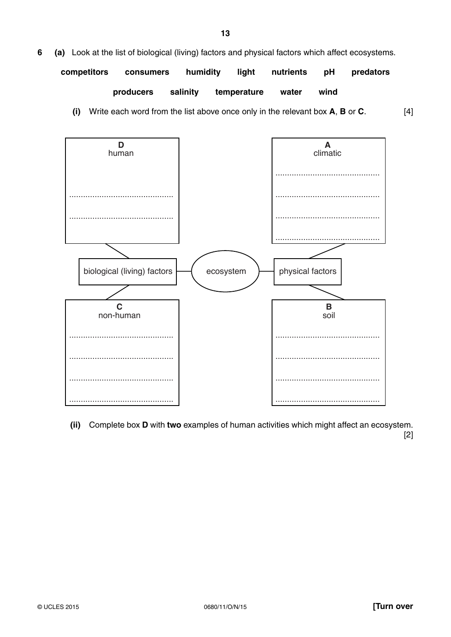**6 (a)** Look at the list of biological (living) factors and physical factors which affect ecosystems.

**competitors consumers humidity light nutrients pH predators producers salinity temperature water wind**

 **(i)** Write each word from the list above once only in the relevant box **A**, **B** or **C**. [4]



 **(ii)** Complete box **D** with **two** examples of human activities which might affect an ecosystem. [2]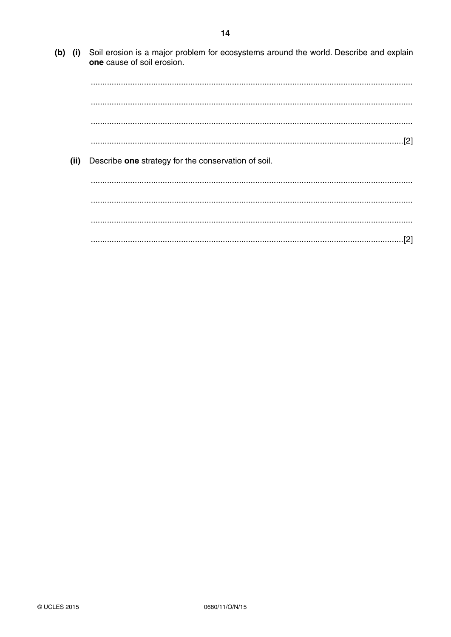Soil erosion is a major problem for ecosystems around the world. Describe and explain  $(b)$  (i) one cause of soil erosion.

(ii) Describe one strategy for the conservation of soil.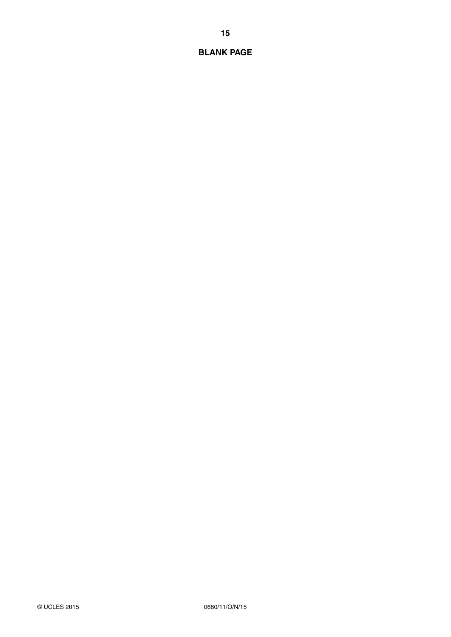## **BLANK PAGE**